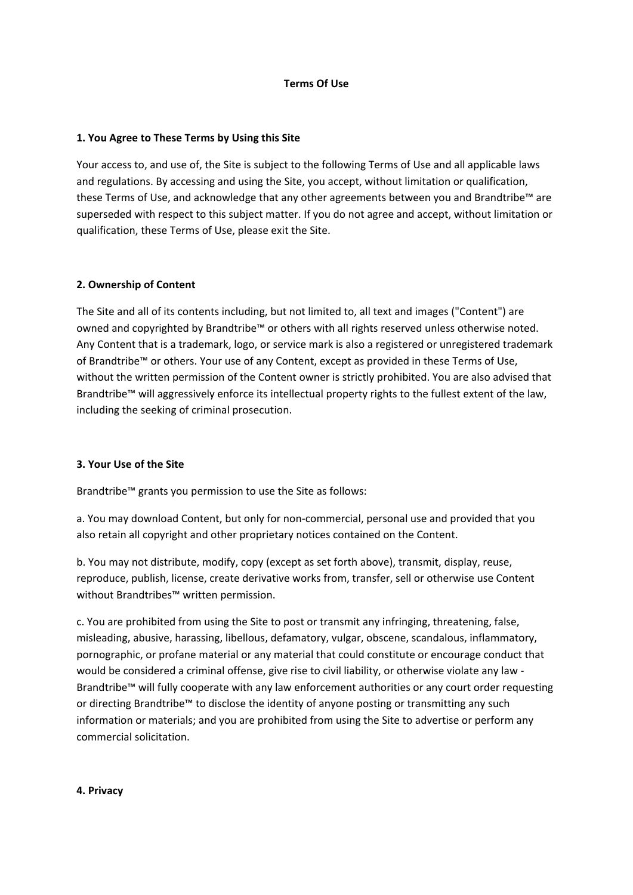### **Terms Of Use**

## **1. You Agree to These Terms by Using this Site**

Your access to, and use of, the Site is subject to the following Terms of Use and all applicable laws and regulations. By accessing and using the Site, you accept, without limitation or qualification, these Terms of Use, and acknowledge that any other agreements between you and Brandtribe™ are superseded with respect to this subject matter. If you do not agree and accept, without limitation or qualification, these Terms of Use, please exit the Site.

## **2. Ownership of Content**

The Site and all of its contents including, but not limited to, all text and images ("Content") are owned and copyrighted by Brandtribe™ or others with all rights reserved unless otherwise noted. Any Content that is a trademark, logo, or service mark is also a registered or unregistered trademark of Brandtribe™ or others. Your use of any Content, except as provided in these Terms of Use, without the written permission of the Content owner is strictly prohibited. You are also advised that Brandtribe™ will aggressively enforce its intellectual property rights to the fullest extent of the law, including the seeking of criminal prosecution.

### **3. Your Use of the Site**

Brandtribe™ grants you permission to use the Site as follows:

a. You may download Content, but only for non-commercial, personal use and provided that you also retain all copyright and other proprietary notices contained on the Content.

b. You may not distribute, modify, copy (except as set forth above), transmit, display, reuse, reproduce, publish, license, create derivative works from, transfer, sell or otherwise use Content without Brandtribes™ written permission.

c. You are prohibited from using the Site to post or transmit any infringing, threatening, false, misleading, abusive, harassing, libellous, defamatory, vulgar, obscene, scandalous, inflammatory, pornographic, or profane material or any material that could constitute or encourage conduct that would be considered a criminal offense, give rise to civil liability, or otherwise violate any law - Brandtribe™ will fully cooperate with any law enforcement authorities or any court order requesting or directing Brandtribe™ to disclose the identity of anyone posting or transmitting any such information or materials; and you are prohibited from using the Site to advertise or perform any commercial solicitation.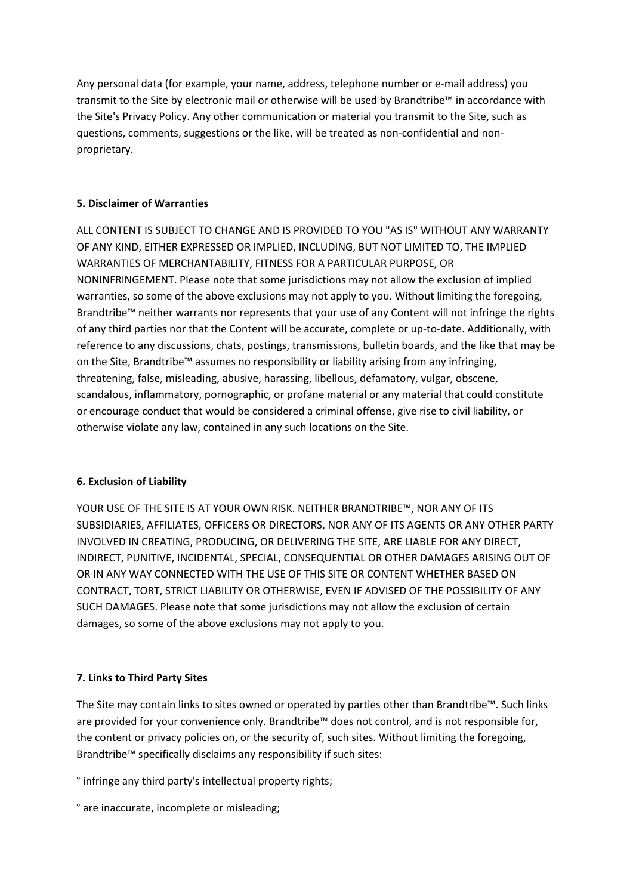Any personal data (for example, your name, address, telephone number or e-mail address) you transmit to the Site by electronic mail or otherwise will be used by Brandtribe™ in accordance with the Site's Privacy Policy. Any other communication or material you transmit to the Site, such as questions, comments, suggestions or the like, will be treated as non-confidential and nonproprietary.

# **5. Disclaimer of Warranties**

ALL CONTENT IS SUBJECT TO CHANGE AND IS PROVIDED TO YOU "AS IS" WITHOUT ANY WARRANTY OF ANY KIND, EITHER EXPRESSED OR IMPLIED, INCLUDING, BUT NOT LIMITED TO, THE IMPLIED WARRANTIES OF MERCHANTABILITY, FITNESS FOR A PARTICULAR PURPOSE, OR NONINFRINGEMENT. Please note that some jurisdictions may not allow the exclusion of implied warranties, so some of the above exclusions may not apply to you. Without limiting the foregoing, Brandtribe™ neither warrants nor represents that your use of any Content will not infringe the rights of any third parties nor that the Content will be accurate, complete or up-to-date. Additionally, with reference to any discussions, chats, postings, transmissions, bulletin boards, and the like that may be on the Site, Brandtribe™ assumes no responsibility or liability arising from any infringing, threatening, false, misleading, abusive, harassing, libellous, defamatory, vulgar, obscene, scandalous, inflammatory, pornographic, or profane material or any material that could constitute or encourage conduct that would be considered a criminal offense, give rise to civil liability, or otherwise violate any law, contained in any such locations on the Site.

# **6. Exclusion of Liability**

YOUR USE OF THE SITE IS AT YOUR OWN RISK. NEITHER BRANDTRIBE™, NOR ANY OF ITS SUBSIDIARIES, AFFILIATES, OFFICERS OR DIRECTORS, NOR ANY OF ITS AGENTS OR ANY OTHER PARTY INVOLVED IN CREATING, PRODUCING, OR DELIVERING THE SITE, ARE LIABLE FOR ANY DIRECT, INDIRECT, PUNITIVE, INCIDENTAL, SPECIAL, CONSEQUENTIAL OR OTHER DAMAGES ARISING OUT OF OR IN ANY WAY CONNECTED WITH THE USE OF THIS SITE OR CONTENT WHETHER BASED ON CONTRACT, TORT, STRICT LIABILITY OR OTHERWISE, EVEN IF ADVISED OF THE POSSIBILITY OF ANY SUCH DAMAGES. Please note that some jurisdictions may not allow the exclusion of certain damages, so some of the above exclusions may not apply to you.

# **7. Links to Third Party Sites**

The Site may contain links to sites owned or operated by parties other than Brandtribe™. Such links are provided for your convenience only. Brandtribe™ does not control, and is not responsible for, the content or privacy policies on, or the security of, such sites. Without limiting the foregoing, Brandtribe™ specifically disclaims any responsibility if such sites:

° infringe any third party's intellectual property rights;

° are inaccurate, incomplete or misleading;